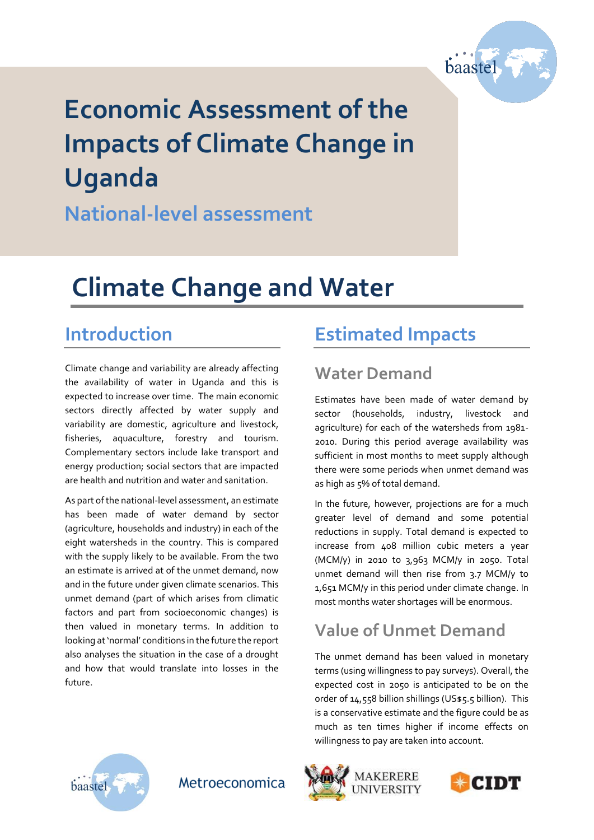

# **Economic Assessment of the Impacts of Climate Change in Uganda**

**National-level assessment**

## **Climate Change and Water**

### **Introduction**

Climate change and variability are already affecting the availability of water in Uganda and this is expected to increase over time. The main economic sectors directly affected by water supply and variability are domestic, agriculture and livestock, fisheries, aquaculture, forestry and tourism. Complementary sectors include lake transport and energy production; social sectors that are impacted are health and nutrition and water and sanitation.

As part of the national-level assessment, an estimate has been made of water demand by sector (agriculture, households and industry) in each of the eight watersheds in the country. This is compared with the supply likely to be available. From the two an estimate is arrived at of the unmet demand, now and in the future under given climate scenarios. This unmet demand (part of which arises from climatic factors and part from socioeconomic changes) is then valued in monetary terms. In addition to looking at 'normal' conditions in the future the report also analyses the situation in the case of a drought and how that would translate into losses in the future.

### **Estimated Impacts**

#### **Water Demand**

Estimates have been made of water demand by sector (households, industry, livestock and agriculture) for each of the watersheds from 1981- 2010. During this period average availability was sufficient in most months to meet supply although there were some periods when unmet demand was as high as 5% of total demand.

In the future, however, projections are for a much greater level of demand and some potential reductions in supply. Total demand is expected to increase from 408 million cubic meters a year (MCM/y) in 2010 to 3,963 MCM/y in 2050. Total unmet demand will then rise from 3.7 MCM/y to 1,651 MCM/y in this period under climate change. In most months water shortages will be enormous.

#### **Value of Unmet Demand**

The unmet demand has been valued in monetary terms (using willingness to pay surveys). Overall, the expected cost in 2050 is anticipated to be on the order of 14,558 billion shillings (US\$5.5 billion). This is a conservative estimate and the figure could be as much as ten times higher if income effects on willingness to pay are taken into account.



Metroeconomica